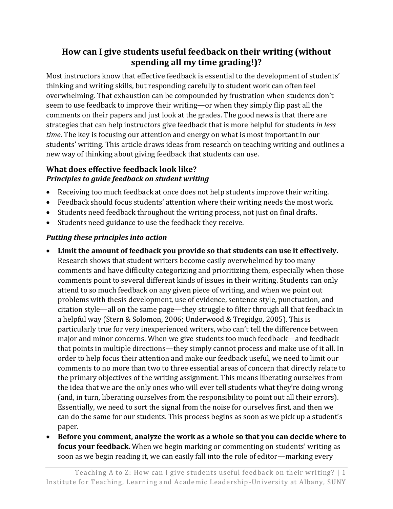# **How can I give students useful feedback on their writing (without spending all my time grading!)?**

Most instructors know that effective feedback is essential to the development of students' thinking and writing skills, but responding carefully to student work can often feel overwhelming. That exhaustion can be compounded by frustration when students don't seem to use feedback to improve their writing—or when they simply flip past all the comments on their papers and just look at the grades. The good news is that there are strategies that can help instructors give feedback that is more helpful for students *in less time*. The key is focusing our attention and energy on what is most important in our students' writing. This article draws ideas from research on teaching writing and outlines a new way of thinking about giving feedback that students can use.

#### **What does effective feedback look like?** *Principles to guide feedback on student writing*

- Receiving too much feedback at once does not help students improve their writing.
- Feedback should focus students' attention where their writing needs the most work.
- Students need feedback throughout the writing process, not just on final drafts.
- Students need guidance to use the feedback they receive.

### *Putting these principles into action*

- **Limit the amount of feedback you provide so that students can use it effectively.**  Research shows that student writers become easily overwhelmed by too many comments and have difficulty categorizing and prioritizing them, especially when those comments point to several different kinds of issues in their writing. Students can only attend to so much feedback on any given piece of writing, and when we point out problems with thesis development, use of evidence, sentence style, punctuation, and citation style—all on the same page—they struggle to filter through all that feedback in a helpful way (Stern & Solomon, 2006; Underwood & Tregidgo, 2005). This is particularly true for very inexperienced writers, who can't tell the difference between major and minor concerns. When we give students too much feedback—and feedback that points in multiple directions—they simply cannot process and make use of it all. In order to help focus their attention and make our feedback useful, we need to limit our comments to no more than two to three essential areas of concern that directly relate to the primary objectives of the writing assignment. This means liberating ourselves from the idea that we are the only ones who will ever tell students what they're doing wrong (and, in turn, liberating ourselves from the responsibility to point out all their errors). Essentially, we need to sort the signal from the noise for ourselves first, and then we can do the same for our students. This process begins as soon as we pick up a student's paper.
- **Before you comment, analyze the work as a whole so that you can decide where to focus your feedback.** When we begin marking or commenting on students' writing as soon as we begin reading it, we can easily fall into the role of editor—marking every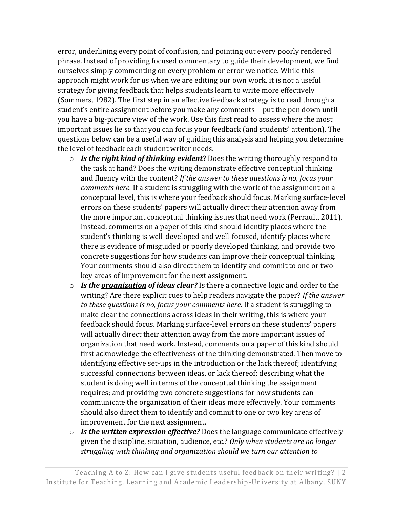error, underlining every point of confusion, and pointing out every poorly rendered phrase. Instead of providing focused commentary to guide their development, we find ourselves simply commenting on every problem or error we notice. While this approach might work for us when we are editing our own work, it is not a useful strategy for giving feedback that helps students learn to write more effectively (Sommers, 1982). The first step in an effective feedback strategy is to read through a student's entire assignment before you make any comments—put the pen down until you have a big-picture view of the work. Use this first read to assess where the most important issues lie so that you can focus your feedback (and students' attention). The questions below can be a useful way of guiding this analysis and helping you determine the level of feedback each student writer needs.

- o *Is the right kind of thinking evident***?** Does the writing thoroughly respond to the task at hand? Does the writing demonstrate effective conceptual thinking and fluency with the content? *If the answer to these questions is no, focus your comments here.* If a student is struggling with the work of the assignment on a conceptual level, this is where your feedback should focus. Marking surface-level errors on these students' papers will actually direct their attention away from the more important conceptual thinking issues that need work (Perrault, 2011). Instead, comments on a paper of this kind should identify places where the student's thinking is well-developed and well-focused, identify places where there is evidence of misguided or poorly developed thinking, and provide two concrete suggestions for how students can improve their conceptual thinking. Your comments should also direct them to identify and commit to one or two key areas of improvement for the next assignment.
- o *Is the organization of ideas clear?* Is there a connective logic and order to the writing? Are there explicit cues to help readers navigate the paper? *If the answer to these questions is no, focus your comments here.* If a student is struggling to make clear the connections across ideas in their writing, this is where your feedback should focus. Marking surface-level errors on these students' papers will actually direct their attention away from the more important issues of organization that need work. Instead, comments on a paper of this kind should first acknowledge the effectiveness of the thinking demonstrated. Then move to identifying effective set-ups in the introduction or the lack thereof; identifying successful connections between ideas, or lack thereof; describing what the student is doing well in terms of the conceptual thinking the assignment requires; and providing two concrete suggestions for how students can communicate the organization of their ideas more effectively. Your comments should also direct them to identify and commit to one or two key areas of improvement for the next assignment.
- o *Is the written expression effective?* Does the language communicate effectively given the discipline, situation, audience, etc.? *Only when students are no longer struggling with thinking and organization should we turn our attention to*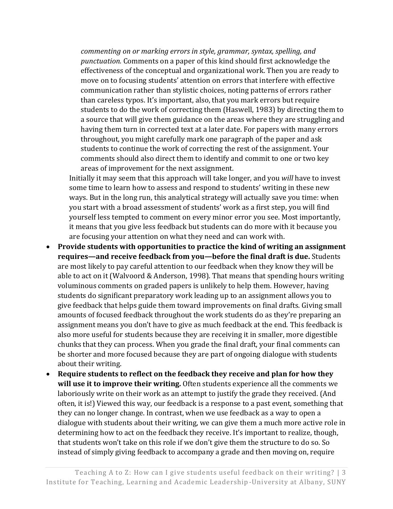*commenting on or marking errors in style, grammar, syntax, spelling, and punctuation.* Comments on a paper of this kind should first acknowledge the effectiveness of the conceptual and organizational work. Then you are ready to move on to focusing students' attention on errors that interfere with effective communication rather than stylistic choices, noting patterns of errors rather than careless typos. It's important, also, that you mark errors but require students to do the work of correcting them (Haswell, 1983) by directing them to a source that will give them guidance on the areas where they are struggling and having them turn in corrected text at a later date. For papers with many errors throughout, you might carefully mark one paragraph of the paper and ask students to continue the work of correcting the rest of the assignment. Your comments should also direct them to identify and commit to one or two key areas of improvement for the next assignment.

Initially it may seem that this approach will take longer, and you *will* have to invest some time to learn how to assess and respond to students' writing in these new ways. But in the long run, this analytical strategy will actually save you time: when you start with a broad assessment of students' work as a first step, you will find yourself less tempted to comment on every minor error you see. Most importantly, it means that you give less feedback but students can do more with it because you are focusing your attention on what they need and can work with.

- **Provide students with opportunities to practice the kind of writing an assignment requires—and receive feedback from you—before the final draft is due.** Students are most likely to pay careful attention to our feedback when they know they will be able to act on it (Walvoord & Anderson, 1998). That means that spending hours writing voluminous comments on graded papers is unlikely to help them. However, having students do significant preparatory work leading up to an assignment allows you to give feedback that helps guide them toward improvements on final drafts. Giving small amounts of focused feedback throughout the work students do as they're preparing an assignment means you don't have to give as much feedback at the end. This feedback is also more useful for students because they are receiving it in smaller, more digestible chunks that they can process. When you grade the final draft, your final comments can be shorter and more focused because they are part of ongoing dialogue with students about their writing.
- **Require students to reflect on the feedback they receive and plan for how they will use it to improve their writing.** Often students experience all the comments we laboriously write on their work as an attempt to justify the grade they received. (And often, it is!) Viewed this way, our feedback is a response to a past event, something that they can no longer change. In contrast, when we use feedback as a way to open a dialogue with students about their writing, we can give them a much more active role in determining how to act on the feedback they receive. It's important to realize, though, that students won't take on this role if we don't give them the structure to do so. So instead of simply giving feedback to accompany a grade and then moving on, require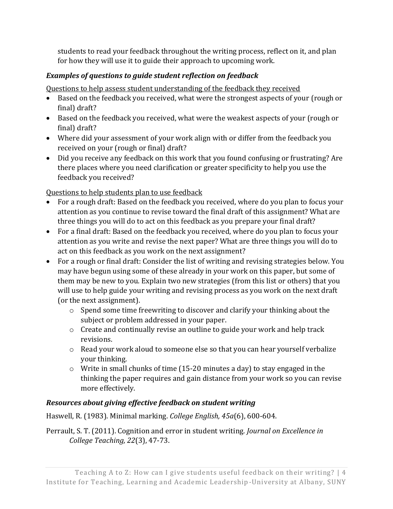students to read your feedback throughout the writing process, reflect on it, and plan for how they will use it to guide their approach to upcoming work.

#### *Examples of questions to guide student reflection on feedback*

Questions to help assess student understanding of the feedback they received

- Based on the feedback you received, what were the strongest aspects of your (rough or final) draft?
- Based on the feedback you received, what were the weakest aspects of your (rough or final) draft?
- Where did your assessment of your work align with or differ from the feedback you received on your (rough or final) draft?
- Did you receive any feedback on this work that you found confusing or frustrating? Are there places where you need clarification or greater specificity to help you use the feedback you received?

Questions to help students plan to use feedback

- For a rough draft: Based on the feedback you received, where do you plan to focus your attention as you continue to revise toward the final draft of this assignment? What are three things you will do to act on this feedback as you prepare your final draft?
- For a final draft: Based on the feedback you received, where do you plan to focus your attention as you write and revise the next paper? What are three things you will do to act on this feedback as you work on the next assignment?
- For a rough or final draft: Consider the list of writing and revising strategies below. You may have begun using some of these already in your work on this paper, but some of them may be new to you. Explain two new strategies (from this list or others) that you will use to help guide your writing and revising process as you work on the next draft (or the next assignment).
	- o Spend some time freewriting to discover and clarify your thinking about the subject or problem addressed in your paper.
	- o Create and continually revise an outline to guide your work and help track revisions.
	- o Read your work aloud to someone else so that you can hear yourself verbalize your thinking.
	- $\circ$  Write in small chunks of time (15-20 minutes a day) to stay engaged in the thinking the paper requires and gain distance from your work so you can revise more effectively.

## *Resources about giving effective feedback on student writing*

Haswell, R. (1983). Minimal marking. *College English, 45a*(6), 600-604.

Perrault, S. T. (2011). Cognition and error in student writing. *Journal on Excellence in College Teaching, 22*(3), 47-73.